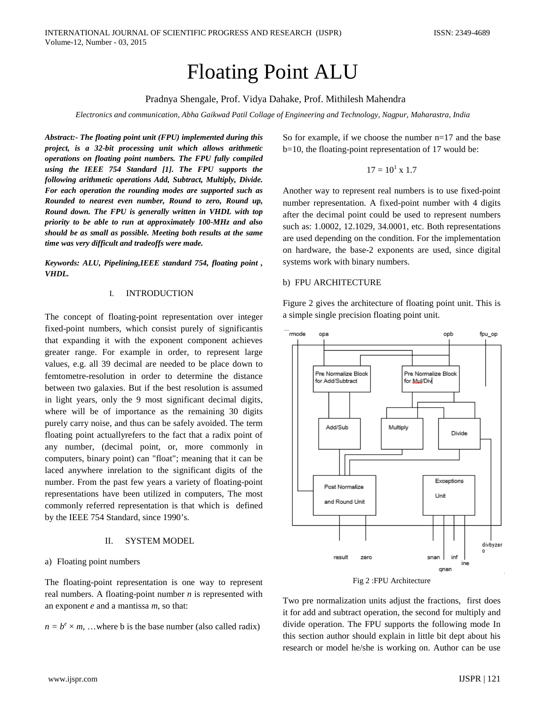# Floating Point ALU

## Pradnya Shengale, Prof. Vidya Dahake*,* Prof. Mithilesh Mahendra

*Electronics and communication, Abha Gaikwad Patil Collage of Engineering and Technology, Nagpur, Maharastra, India*

*Abstract:- The floating point unit (FPU) implemented during this project, is a 32-bit processing unit which allows arithmetic operations on floating point numbers. The FPU fully compiled using the IEEE 754 Standard [1]. The FPU supports the following arithmetic operations Add, Subtract, Multiply, Divide. For each operation the rounding modes are supported such as Rounded to nearest even number, Round to zero, Round up, Round down. The FPU is generally written in VHDL with top priority to be able to run at approximately 100-MHz and also should be as small as possible. Meeting both results at the same time was very difficult and tradeoffs were made.*

*Keywords: ALU, Pipelining,IEEE standard 754, floating point , VHDL.*

### I. INTRODUCTION

The concept of floating-point representation over integer fixed-point numbers, which consist purely of significantis that expanding it with the exponent component achieves greater range. For example in order, to represent large values, e.g. all 39 decimal are needed to be place down to femtometre-resolution in order to determine the distance between two galaxies. But if the best resolution is assumed in light years, only the 9 most significant decimal digits, where will be of importance as the remaining 30 digits purely carry noise, and thus can be safely avoided. The term floating point actuallyrefers to the fact that a radix point of any number, (decimal point, or, more commonly in computers, binary point) can "float"; meaning that it can be laced anywhere inrelation to the significant digits of the number. From the past few years a variety of floating-point representations have been utilized in computers, The most commonly referred representation is that which is defined by the IEEE 754 Standard, since 1990's.

#### II. SYSTEM MODEL

#### a) Floating point numbers

The floating-point representation is one way to represent real numbers. A floating-point number *n* is represented with an exponent *e* and a mantissa *m*, so that:

 $n = b^e \times m$ , ...where b is the base number (also called radix)

So for example, if we choose the number n=17 and the base b=10, the floating-point representation of 17 would be:

$$
17 = 10^1 \times 1.7
$$

Another way to represent real numbers is to use fixed-point number representation. A fixed-point number with 4 digits after the decimal point could be used to represent numbers such as: 1.0002, 12.1029, 34.0001, etc. Both representations are used depending on the condition. For the implementation on hardware, the base-2 exponents are used, since digital systems work with binary numbers.

### b) FPU ARCHITECTURE

Figure 2 gives the architecture of floating point unit. This is a simple single precision floating point unit.



Fig 2 :FPU Architecture

Two pre normalization units adjust the fractions, first does it for add and subtract operation, the second for multiply and divide operation. The FPU supports the following mode In this section author should explain in little bit dept about his research or model he/she is working on. Author can be use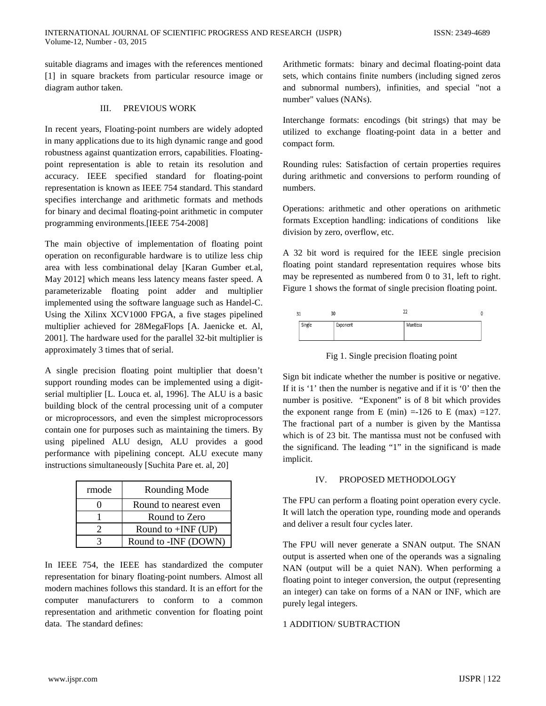suitable diagrams and images with the references mentioned [1] in square brackets from particular resource image or diagram author taken.

## III. PREVIOUS WORK

In recent years, Floating-point numbers are widely adopted in many applications due to its high dynamic range and good robustness against quantization errors, capabilities. Floatingpoint representation is able to retain its resolution and accuracy. IEEE specified standard for floating-point representation is known as IEEE 754 standard. This standard specifies interchange and arithmetic formats and methods for binary and decimal floating-point arithmetic in computer programming environments.[IEEE 754-2008]

The main objective of implementation of floating point operation on reconfigurable hardware is to utilize less chip area with less combinational delay [Karan Gumber et.al, May 2012] which means less latency means faster speed. A parameterizable floating point adder and multiplier implemented using the software language such as Handel-C. Using the Xilinx XCV1000 FPGA, a five stages pipelined multiplier achieved for 28MegaFlops [A. Jaenicke et. Al, 2001]. The hardware used for the parallel 32-bit multiplier is approximately 3 times that of serial.

A single precision floating point multiplier that doesn't support rounding modes can be implemented using a digitserial multiplier [L. Louca et. al, 1996]. The ALU is a basic building block of the central processing unit of a computer or microprocessors, and even the simplest microprocessors contain one for purposes such as maintaining the timers. By using pipelined ALU design, ALU provides a good performance with pipelining concept. ALU execute many instructions simultaneously [Suchita Pare et. al, 20]

| rmode | Rounding Mode         |
|-------|-----------------------|
|       | Round to nearest even |
|       | Round to Zero         |
|       | Round to $+INF$ (UP)  |
|       | Round to -INF (DOWN)  |

In IEEE 754, the IEEE has standardized the computer representation for binary floating-point numbers. Almost all modern machines follows this standard. It is an effort for the computer manufacturers to conform to a common representation and arithmetic convention for floating point data. The standard defines:

Arithmetic formats: binary and decimal floating-point data sets, which contains finite numbers (including signed zeros and subnormal numbers), infinities, and special "not a number" values (NANs).

Interchange formats: encodings (bit strings) that may be utilized to exchange floating-point data in a better and compact form.

Rounding rules: Satisfaction of certain properties requires during arithmetic and conversions to perform rounding of numbers.

Operations: arithmetic and other operations on arithmetic formats Exception handling: indications of conditions like division by zero, overflow, etc.

A 32 bit word is required for the IEEE single precision floating point standard representation requires whose bits may be represented as numbered from 0 to 31, left to right. Figure 1 shows the format of single precision floating point.

| 30<br>31 |        |          | n٥       |  |
|----------|--------|----------|----------|--|
|          | Single | Exponent | Mantissa |  |

Fig 1. Single precision floating point

Sign bit indicate whether the number is positive or negative. If it is '1' then the number is negative and if it is '0' then the number is positive. "Exponent" is of 8 bit which provides the exponent range from E (min) =-126 to E (max) =127. The fractional part of a number is given by the Mantissa which is of 23 bit. The mantissa must not be confused with the significand. The leading "1" in the significand is made implicit.

# IV. PROPOSED METHODOLOGY

The FPU can perform a floating point operation every cycle. It will latch the operation type, rounding mode and operands and deliver a result four cycles later.

The FPU will never generate a SNAN output. The SNAN output is asserted when one of the operands was a signaling NAN (output will be a quiet NAN). When performing a floating point to integer conversion, the output (representing an integer) can take on forms of a NAN or INF, which are purely legal integers.

## 1 ADDITION/ SUBTRACTION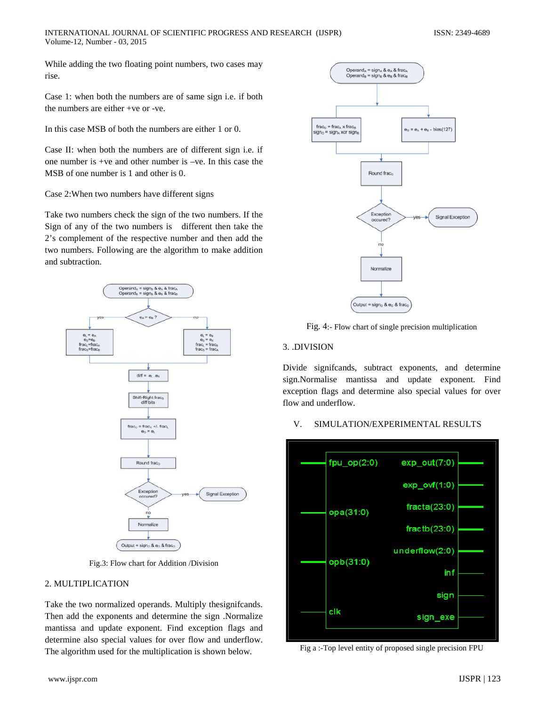While adding the two floating point numbers, two cases may rise.

Case 1: when both the numbers are of same sign i.e. if both the numbers are either +ve or -ve.

In this case MSB of both the numbers are either 1 or 0.

Case II: when both the numbers are of different sign i.e. if one number is +ve and other number is –ve. In this case the MSB of one number is 1 and other is 0.

Case 2:When two numbers have different signs

Take two numbers check the sign of the two numbers. If the Sign of any of the two numbers is different then take the 2's complement of the respective number and then add the two numbers. Following are the algorithm to make addition and subtraction.



Fig.3: Flow chart for Addition /Division

# 2. MULTIPLICATION

Take the two normalized operands. Multiply thesignifcands. Then add the exponents and determine the sign .Normalize mantissa and update exponent. Find exception flags and determine also special values for over flow and underflow. The algorithm used for the multiplication is shown below.



Fig. 4:- Flow chart of single precision multiplication

# 3. .DIVISION

Divide signifcands, subtract exponents, and determine sign.Normalise mantissa and update exponent. Find exception flags and determine also special values for over flow and underflow.

# V. SIMULATION/EXPERIMENTAL RESULTS



Fig a :-Top level entity of proposed single precision FPU